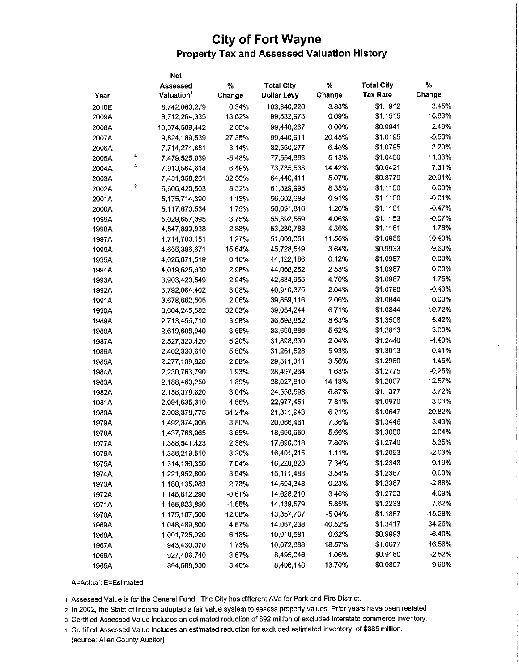## **City of Fort Wayne** Property Tax and Assessed Valuation History

|       |   | Net                    |           |                    |          |                   |           |
|-------|---|------------------------|-----------|--------------------|----------|-------------------|-----------|
|       |   | Assessed               | %         | <b>Total City</b>  | $\%$     | <b>Total City</b> | ℅         |
| Year  |   | Valuation <sup>1</sup> | Change    | <b>Dollar Levy</b> | Change   | <b>Tax Rate</b>   | Change    |
| 2010E |   | 8,742,060,279          | 0.34%     | 103,340,226        | 3.83%    | \$1.1912          | 3.45%     |
| 2009A |   | 8,712,264,335          | $-13.52%$ | 99,532,973         | 0.09%    | \$1.1515          | 15.83%    |
| 2008A |   | 10,074,509,442         | 2.55%     | 99,440,267         | 0.00%    | \$0.9941          | $-2.49%$  |
| 2007A |   | 9,824,189,539          | 27.35%    | 99,440,911         | 20.45%   | \$1.0195          | $-5.56%$  |
| 2006A |   | 7,714,274,681          | 3.14%     | 82,560,277         | 6.45%    | \$1.0795          | 3.20%     |
| 2005A | 4 | 7,479,525,039          | $-5.48%$  | 77,554,663         | 5.18%    | \$1.0460          | 11.03%    |
| 2004A | 3 | 7,913,564,614          | 6.49%     | 73,735,533         | 14.42%   | \$0.9421          | 7.31%     |
| 2003A |   | 7,431,358,261          | 32.55%    | 64,440,411         | 5.07%    | \$0.8779          | $-20.91%$ |
| 2002A | 2 | 5,606,420,503          | 8.32%     | 61,329,995         | 8.35%    | \$1.1100          | 0.00%     |
| 2001A |   | 5,175,714,390          | 1.13%     | 56,602,688         | 0.91%    | \$1.1100          | $-0.01%$  |
| 2000A |   | 5,117,670,534          | 1.75%     | 56,091,816         | 1.26%    | \$1.1101          | $-0.47%$  |
| 1999A |   | 5,029,657,395          | 3.75%     | 55,392,559         | 4.06%    | \$1.1153          | $-0.07%$  |
| 1998A |   | 4,847,899,938          | 2.83%     | 53,230,788         | 4.36%    | \$1.1161          | 1.78%     |
| 1997A |   | 4,714,700,151          | 1.27%     | 51,009,051         | 11.55%   | \$1.0966          | 10.40%    |
| 1996A |   | 4,655,386,671          | 15.64%    | 45,728,549         | 3.64%    | \$0.9933          | $-9.60%$  |
| 1995A |   | 4,025,871,519          | 0.16%     | 44,122,186         | 0.12%    | \$1.0987          | $0.00\%$  |
| 1994A |   | 4,019,625,630          | 2.98%     | 44,068,252         | 2.88%    | \$1.0987          | $0.00\%$  |
| 1993A |   | 3,903,420,549          | 2.94%     | 42,834,955         | 4.70%    | \$1.0987          | 1.75%     |
| 1992A |   | 3,792,084,402          | 3.08%     | 40,910,375         | 2.64%    | \$1.0798          | $-0.43%$  |
| 1991A |   | 3,678,662,505          | 2.06%     | 39,859,116         | 2.06%    | \$1.0844          | 0.00%     |
| 1990A |   | 3,604,245,582          | 32.83%    | 39,054,244         | 6.71%    | \$1.0844          | $-19.72%$ |
| 1989A |   | 2,713,456,710          | 3.58%     | 36,598,852         | 8.63%    | \$1.3508          | 5.42%     |
| 1988A |   | 2,619,608,940          | 3.65%     | 33,690,886         | 5.62%    | \$1.2813          | 3.00%     |
| 1987A |   | 2,527,320,420          | 5.20%     | 31,898,630         | 2.04%    | \$1.2440          | -4.40%    |
| 1986A |   | 2,402,330,610          | 5.50%     | 31,261,528         | 5.93%    | \$1.3013          | 0.41%     |
| 1985A |   | 2,277,109,620          | 2.08%     | 29,511,341         | 3.56%    | \$1.2960          | 1.45%     |
| 1984A |   | 2,230,763,790          | 1.93%     | 28,497,264         | 1.68%    | \$1.2775          | $-0.25%$  |
| 1983A |   | 2,188,460,250          | 1.39%     | 28,027,610         | 14.13%   | \$1.2807          | 12.57%    |
| 1982A |   | 2,158,378,620          | 3.04%     | 24,556,593         | 6.87%    | \$1.1377          | 3.72%     |
| 1981A |   | 2,094,635,310          | 4.56%     | 22,977,451         | 7.81%    | \$1.0970          | 3.03%     |
| 1980A |   | 2,003,378,775          | 34.24%    | 21,311,943         | 6.21%    | \$1.0647          | $-20.82%$ |
| 1979A |   | 1,492,374,006          | 3.80%     | 20,066,461         | 7.36%    | \$1.3446          | 3.43%     |
| 1978A |   | 1,437,766,065          | 3.55%     | 18,690,959         | 5.66%    | \$1.3000          | 2.04%     |
| 1977A |   | 1,388,541,423          | 2.38%     | 17,690,018         | 7.86%    | \$1.2740          | 5.35%     |
| 1976A |   | 1,356,219,510          | 3.20%     | 16,401,215         | 1.11%    | \$1.2093          | $-2.03%$  |
| 1975A |   | 1,314,136,350          | 7.54%     | 16,220,823         | 7.34%    | \$1.2343          | $-0.19%$  |
| 1974A |   | 1,221,952,800          | 3.54%     | 15,111,483         | 3.54%    | \$1.2367          | $0.00\%$  |
| 1973A |   | 1,180,135,983          | 2.73%     | 14,594,348         | $-0.23%$ | \$1.2367          | $-2.88%$  |
| 1972A |   | 1,148,812,290          | $-0.61%$  | 14,628,210         | 3,46%    | \$1.2733          | 4.09%     |
| 1971A |   | 1,155,823,890          | $-1.65%$  | 14,139,579         | 5.85%    | \$1.2233          | 7.62%     |
| 1970A |   | 1,175,167,500          | 12.08%    | 13,357,737         | $-5.04%$ | \$1.1367          | $-15.28%$ |
| 1969A |   | 1,048,489,800          | 4.67%     | 14,067,238         | 40.52%   | \$1.3417          | 34.26%    |
| 1968A |   | 1,001,725,920          | 6.18%     | 10,010,581         | $-0.62%$ | \$0.9993          | -6.40%    |
| 1967A |   | 943,430,070            | 1.73%     | 10,072,688         | 18.57%   | \$1.0677          | 16.56%    |
| 1966A |   | 927,406,740            | 3.67%     | 8,495,046          | 1.06%    | \$0.9160          | $-2.52%$  |
| 1965A |   | 894,588,330            | 3.46%     | 8,406,148          | 13.70%   | \$0.9397          | 9.90%     |

A=Actual; E=Estimated

1 Assessed Value is for the General Fund. The City has different AVs for Park and Fire District.

2 In 2002, the State of Indiana adopted a fair value system to assess property values. Prior years have been restated

3 Certified Assessed Value includes an estimated reduction of \$92 million of excluded interstate commerce inventory.

4 Certified Assessed Value includes an estimated reduction for excluded estimated inventory, of \$385 million,

(source: Allen County Auditor)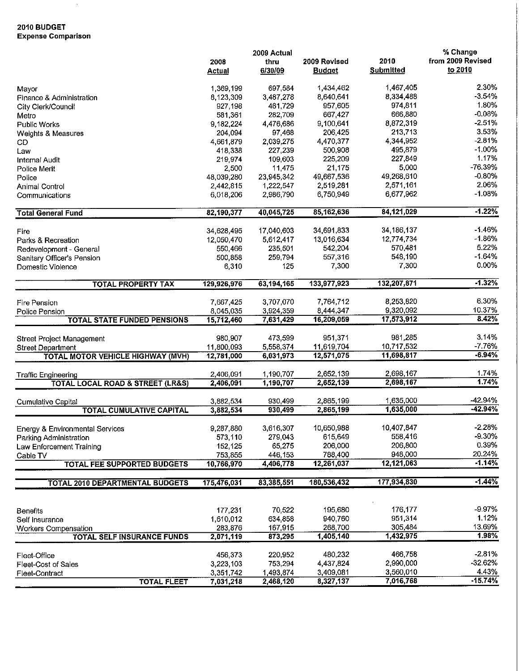## **2010 BUDGET Expense Comparison**

 $\hat{\mathcal{S}}$ 

|                                                 |               | 2009 Actual |               |                  | % Change          |
|-------------------------------------------------|---------------|-------------|---------------|------------------|-------------------|
|                                                 | 2008          | thru        | 2009 Revised  | 2010             | from 2009 Revised |
|                                                 | <b>Actual</b> | 6/30/09     | <b>Budget</b> | <b>Submitted</b> | to 2010           |
| Mayor                                           | 1,369,199     | 697,584     | 1,434,462     | 1,467,405        | 2.30%             |
| Finance & Administration                        | 8,123,309     | 3,487,278   | 8,640,641     | 8,334,488        | $-3.54%$          |
| City Clerk/Council                              | 927,198       | 461,729     | 957,605       | 974,811          | 1.80%             |
|                                                 | 581.361       | 282,709     | 667,427       | 666,880          | $-0.08%$          |
| Metro                                           |               |             |               | 8,872,319        | $-2.51%$          |
| <b>Public Works</b>                             | 9,182,224     | 4,476,686   | 9,100,641     |                  | 3.53%             |
| Weights & Measures                              | 204,094       | 97,468      | 206,425       | 213,713          |                   |
| CD                                              | 4,661,879     | 2,039,275   | 4,470,377     | 4,344,952        | $-2.81%$          |
| Law                                             | 418 338       | 227,239     | 500,908       | 495 879          | $-1.00%$          |
| Internal Audit                                  | 219,974       | 109,603     | 225,209       | 227,849          | 1.17%             |
| Police Merit                                    | 2,500         | 11,475      | 21,175        | 5,000            | -76.39%           |
| Police                                          | 48,039,280    | 23,945,342  | 49,667,536    | 49,268,610       | $-0.80%$          |
| Animal Control                                  | 2,442,815     | 1,222,547   | 2,519,281     | 2,571,161        | 2.06%             |
| Communications                                  | 6,018,206     | 2,986,790   | 6,750,949     | 6,677,962        | $-1.08%$          |
| <b>Total General Fund</b>                       | 82,190,377    | 40,045,725  | 85,162,636    | 84,121,029       | $-1.22%$          |
|                                                 |               |             |               |                  |                   |
| Fire                                            | 34,628,495    | 17,040,603  | 34,691,833    | 34, 186, 137     | $-1.46%$          |
| Parks & Recreation                              | 12,050.470    | 5,612,417   | 13,016,634    | 12,774.734       | $-1.86%$          |
| Redevelopment - General                         | 550,466       | 235,501     | 542,204       | 570,481          | 5.22%             |
| Sanitary Officer's Pension                      | 500,858       | 259,794     | 557,316       | 548,190          | $-1.64%$          |
| Domestic Violence                               | 6,310         | 125         | 7,300         | 7,300            | 0.00%             |
| <b>TOTAL PROPERTY TAX</b>                       | 129,926,976   | 63,194,165  | 133,977,923   | 132,207,871      | $-1.32%$          |
|                                                 |               |             |               | 8,253,820        | 6.30%             |
| Fire Pension                                    | 7,667,425     | 3,707,070   | 7,764,712     |                  | 10.37%            |
| Police Pension                                  | 8,045,035     | 3,924,359   | 8,444,347     | 9,320,092        | 8.42%             |
| <b>TOTAL STATE FUNDED PENSIONS</b>              | 15,712,460    | 7,631,429   | 16,209,059    | 17,573,912       |                   |
|                                                 |               |             |               |                  |                   |
| Street Project Management                       | 980,907       | 473,599     | 951,371       | 981,285          | 3.14%             |
| <b>Street Department</b>                        | 11,800,093    | 5.558,374   | 11,619,704    | 10,717,532       | $-7.76%$          |
| <b>TOTAL MOTOR VEHICLE HIGHWAY (MVH)</b>        | 12,781,000    | 6,031,973   | 12,571,075    | 11,698,817       | $-6.94%$          |
| <b>Traffic Engineering</b>                      | 2,406,091     | 1,190,707   | 2,652,139     | 2,698,167        | 1.74%             |
| <b>TOTAL LOCAL ROAD &amp; STREET (LR&amp;S)</b> | 2,406,091     | 1,190,707   | 2,652,139     | 2,698,167        | 1.74%             |
|                                                 |               |             |               |                  |                   |
| <b>Cumulative Capital</b>                       | 3,882,534     | 930,499     | 2,865,199     | 1,635,000        | -42.94%           |
| <b>TOTAL CUMULATIVE CAPITAL</b>                 | 3,882,534     | 930,499     | 2,865,199     | 1,635,000        | $-42.94%$         |
|                                                 |               |             |               |                  |                   |
| <b>Energy &amp; Environmental Services</b>      | 9,287,880     | 3,616,307   | 10,650,988    | 10,407,847       | $-2.28%$          |
| Parking Administration                          | 573,110       | 279,043     | 615,649       | 558,416          | $-9.30%$          |
| Law Enforcement Training                        | 152,125       | 65,275      | 206,000       | 206,800          | 0.39%             |
| Cable TV                                        | 753,855       | 446,153     | 788,400       | 948,000          | 20.24%            |
| <b>TOTAL FEE SUPPORTED BUDGETS</b>              | 10,766,970    | 4,406,778   | 12,261,037    | 12,121,063       | $-1.14%$          |
| <b>TOTAL 2010 DEPARTMENTAL BUDGETS</b>          | 175,476,031   | 83,385,551  | 180,536,432   | 177,934,830      | $-1.44%$          |
|                                                 |               |             |               |                  |                   |
|                                                 | 177 231       | 70,522      | 195,680       | 176, 177         | -9.97%            |
| Benefits                                        | 1,610,012     |             | 940,760       | 951,314          | 1.12%             |
| Self Insurance                                  |               | 634,858     |               | 305,484          | 13.69%            |
| <b>Workers Compensation</b>                     | 283,876       | 167,915     | 268,700       |                  | 1.98%             |
| <b>TOTAL SELF INSURANCE FUNDS</b>               | 2,071,119     | 873,295     | 1,405,140     | 1,432,975        |                   |
| Fleet-Office                                    | 456,373       | 220,952     | 480,232       | 466 758          | $-2.81%$          |
| Fleet-Cost of Sales                             | 3,223,103     | 753,294     | 4,437,824     | 2,990,000        | $-32.62%$         |
| Fleet-Contract                                  | 3,351,742     | 1,493,874   | 3,409,081     | 3,560,010        | 4.43%             |
| <b>TOTAL FLEET</b>                              | 7,031,218     | 2,468,120   | 8,327,137     | 7,016,768        | $-15.74%$         |
|                                                 |               |             |               |                  |                   |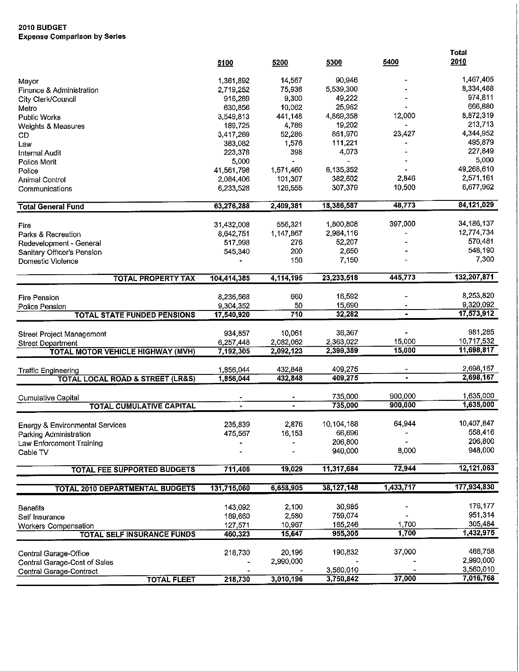## **2010 BUDGET Expense Comparison by Series**

|                                                              | 5100                   | 5200             | 5300                | 5400           | <b>Total</b><br>2010 |
|--------------------------------------------------------------|------------------------|------------------|---------------------|----------------|----------------------|
|                                                              |                        |                  |                     |                | 1,467,405            |
| Mayor                                                        | 1,361,892<br>2,719,252 | 14,567<br>75,936 | 90,946<br>5,539,300 |                | 8,334,488            |
| Finance & Administration                                     | 916,289                | 9,300            | 49,222              |                | 974,811              |
| City Clerk/Council                                           | 630,856                | 10,062           | 25,962              |                | 666,880              |
| Metro<br><b>Public Works</b>                                 | 3,549,813              | 441,148          | 4,869,358           | 12,000         | 8,872,319            |
|                                                              | 189,725                | 4,786            | 19,202              |                | 213,713              |
| Weights & Measures<br>CD                                     | 3,417,269              | 52,286           | 851.970             | 23,427         | 4,344,952            |
| Law                                                          | 383,082                | 1,576            | 111,221             |                | 495,879              |
| <b>Internal Audit</b>                                        | 223,378                | 398              | 4,073               |                | 227,849              |
| Police Merit                                                 | 5,000                  |                  |                     |                | 5,000                |
| Police                                                       | 41,561,798             | 1,571,460        | 6,135,352           |                | 49,268,610           |
| Animal Control                                               | 2,084,406              | 101,307          | 382,602             | 2,846          | 2,571,161            |
| Communications                                               | 6,233,528              | 126,555          | 307,379             | 10,500         | 6,677,962            |
| <b>Total General Fund</b>                                    | 63,276,288             | 2,409,381        | 18,386,587          | 48,773         | 84,121,029           |
|                                                              |                        |                  |                     |                |                      |
| Fire                                                         | 31,432,008             | 556,321          | 1,800,808           | 397,000        | 34, 186, 137         |
| Parks & Recreation                                           | 8,642,751              | 1,147,867        | 2,984,116           |                | 12,774,734           |
| Redevelopment - General                                      | 517,998                | 276              | 52,207              |                | 570.481              |
| Sanitary Officer's Pension                                   | 545,340                | 200              | 2,650               |                | 548,190              |
| Domestic Violence                                            |                        | 150              | 7,150               |                | 7,300                |
| <b>TOTAL PROPERTY TAX</b>                                    | 104,414,385            | 4,114,195        | 23,233,518          | 445,773        | 132,207,871          |
| <b>Fire Pension</b>                                          | 8,236,568              | 660              | 16,592              |                | 8,253,820            |
|                                                              | 9,304,352              | 50               | 15,690              |                | 9,320,092            |
| Police Pension<br><b>TOTAL STATE FUNDED PENSIONS</b>         | 17,540,920             | 710              | 32,282              | $\blacksquare$ | 17,573,912           |
|                                                              |                        |                  |                     |                |                      |
| Street Project Management                                    | 934,857                | 10,061           | 36,367              |                | 981,285              |
| <b>Street Department</b>                                     | 6,257,448              | 2,082,062        | 2,363,022           | 15,000         | 10,717,532           |
| <b>TOTAL MOTOR VEHICLE HIGHWAY (MVH)</b>                     | 7,192,305              | 2,092,123        | 2,399,389           | 15,000         | 11,698,817           |
| <b>Traffic Engineering</b>                                   | 1,856,044              | 432,848          | 409,275             |                | 2,698,167            |
| <b>TOTAL LOCAL ROAD &amp; STREET (LR&amp;S)</b>              | 1,856,044              | 432,848          | 409,275             |                | 2,698,167            |
|                                                              |                        |                  |                     | 900,000        | 1,635,000            |
| <b>Cumulative Capital</b><br><b>TOTAL CUMULATIVE CAPITAL</b> |                        |                  | 735,000<br>735,000  | 900,000        | 1,635,000            |
|                                                              |                        |                  |                     |                |                      |
|                                                              |                        | 2,876            | 10,104,188          | 64,944         | 10,407,847           |
| <b>Energy &amp; Environmental Services</b>                   | 235,839                | 16,153           | 66,696              |                | 558 416              |
| Parking Administration                                       | 475,567                |                  | 206,800             |                | 206,800              |
| Law Enforcement Training<br>Cable TV                         |                        |                  | 940,000             | 8,000          | 948,000              |
| <b>TOTAL FEE SUPPORTED BUDGETS</b>                           | 711,406                | 19,029           | 11,317,684          | 72,944         | 12,121,063           |
|                                                              |                        |                  |                     |                |                      |
| <b>TOTAL 2010 DEPARTMENTAL BUDGETS</b>                       | 131,715,060            | 6,658,905        | 38,127,148          | 1,433,717      | 177,934,830          |
| <b>Benefits</b>                                              | 143,092                | 2,100            | 30,985              |                | 176,177              |
| Self Insurance                                               | 189,660                | 2,580            | 759,074             |                | 951,314              |
| <b>Workers Compensation</b>                                  | 127,571                | 10,967           | 165,246             | 1,700          | 305,484              |
| <b>TOTAL SELF INSURANCE FUNDS</b>                            | 460,323                | 15,647           | 955,305             | 1,700          | 1,432,975            |
|                                                              |                        |                  |                     |                |                      |
| Central Garage-Office                                        | 218,730                | 20,196           | 190,832             | 37,000         | 466,758              |
| Central Garage-Cost of Sales                                 |                        | 2,990,000        |                     |                | 2,990,000            |
| Central Garage-Contract                                      |                        |                  | 3,560,010           |                | 3,560,010            |
| <b>TOTAL FLEET</b>                                           | 218,730                | 3,010,196        | 3,750,842           | 37,000         | 7,016,768            |